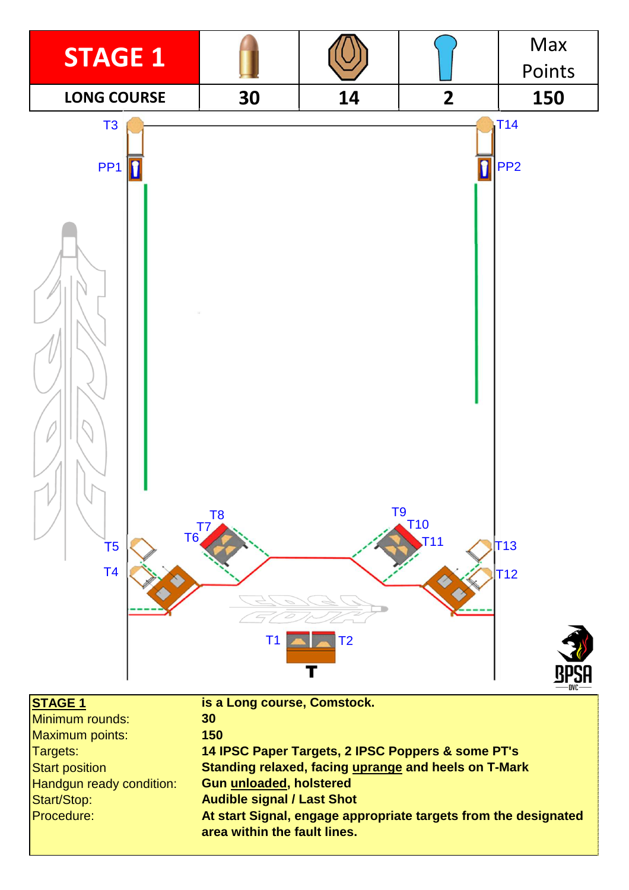

**Gun unloaded, holstered**

Start/Stop: Procedure: **Audible signal / Last Shot**

**At start Signal, engage appropriate targets from the designated area within the fault lines.**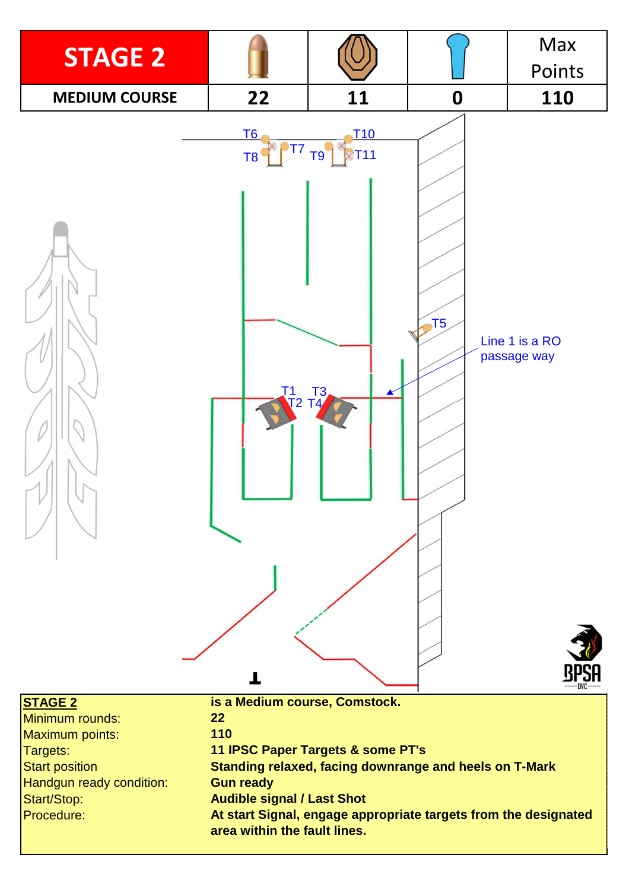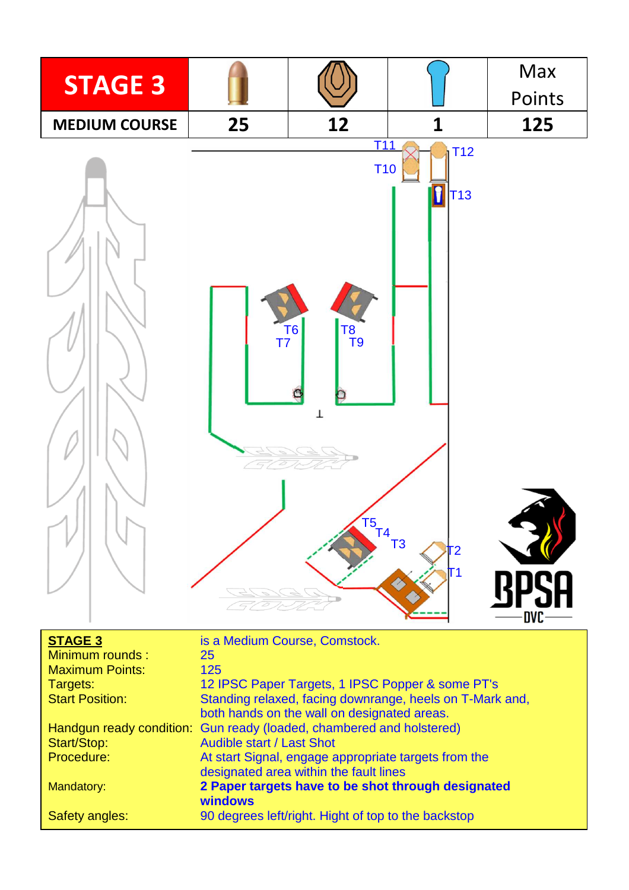

| <b>STAGE 3</b>         | is a Medium Course, Comstock.                                        |
|------------------------|----------------------------------------------------------------------|
| Minimum rounds:        | 25                                                                   |
| <b>Maximum Points:</b> | 125                                                                  |
| Targets:               | 12 IPSC Paper Targets, 1 IPSC Popper & some PT's                     |
| <b>Start Position:</b> | Standing relaxed, facing downrange, heels on T-Mark and,             |
|                        | both hands on the wall on designated areas.                          |
|                        | Handgun ready condition: Gun ready (loaded, chambered and holstered) |
| Start/Stop:            | <b>Audible start / Last Shot</b>                                     |
| Procedure:             | At start Signal, engage appropriate targets from the                 |
|                        | designated area within the fault lines                               |
| Mandatory:             | 2 Paper targets have to be shot through designated                   |
|                        | windows                                                              |
| Safety angles:         | 90 degrees left/right. Hight of top to the backstop                  |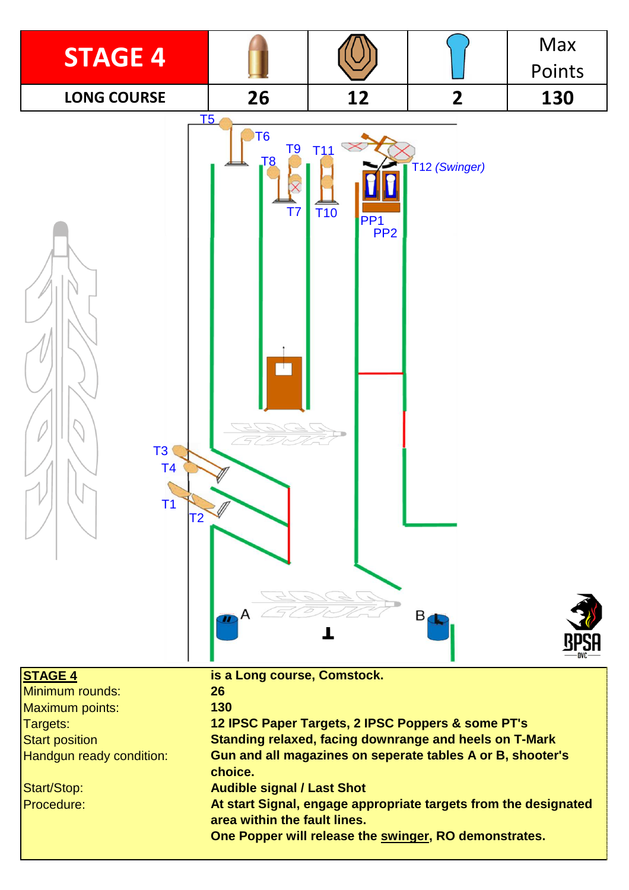

| <b>STAGE 4</b>           | is a Long course, Comstock.                                                                     |
|--------------------------|-------------------------------------------------------------------------------------------------|
| Minimum rounds:          | 26                                                                                              |
| Maximum points:          | 130                                                                                             |
| Targets:                 | 12 IPSC Paper Targets, 2 IPSC Poppers & some PT's                                               |
| <b>Start position</b>    | Standing relaxed, facing downrange and heels on T-Mark                                          |
| Handgun ready condition: | Gun and all magazines on seperate tables A or B, shooter's<br>choice.                           |
| Start/Stop:              | <b>Audible signal / Last Shot</b>                                                               |
| <b>Procedure:</b>        | At start Signal, engage appropriate targets from the designated<br>area within the fault lines. |
|                          | One Popper will release the swinger, RO demonstrates.                                           |